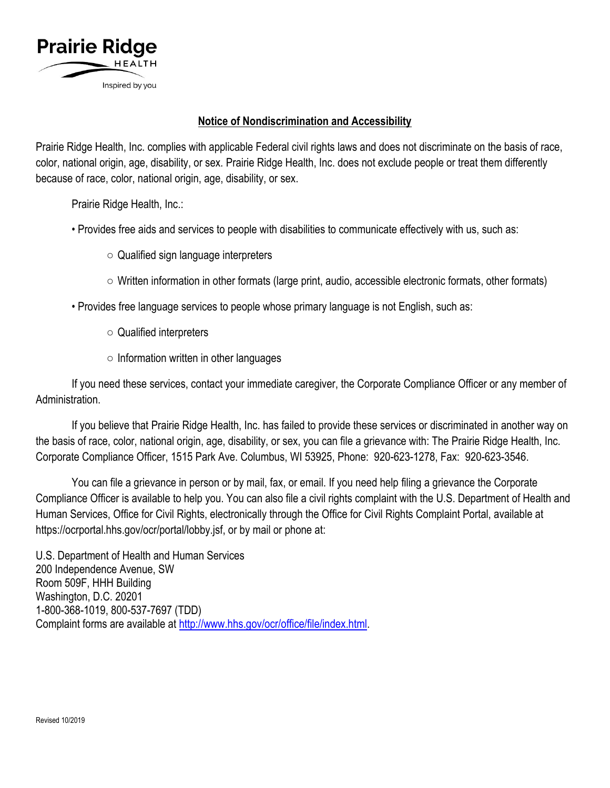

## **Notice of Nondiscrimination and Accessibility**

Prairie Ridge Health, Inc. complies with applicable Federal civil rights laws and does not discriminate on the basis of race, color, national origin, age, disability, or sex. Prairie Ridge Health, Inc. does not exclude people or treat them differently because of race, color, national origin, age, disability, or sex.

Prairie Ridge Health, Inc.:

- Provides free aids and services to people with disabilities to communicate effectively with us, such as:
	- Qualified sign language interpreters
	- $\circ$  Written information in other formats (large print, audio, accessible electronic formats, other formats)
- Provides free language services to people whose primary language is not English, such as:
	- Qualified interpreters
	- Information written in other languages

If you need these services, contact your immediate caregiver, the Corporate Compliance Officer or any member of Administration.

If you believe that Prairie Ridge Health, Inc. has failed to provide these services or discriminated in another way on the basis of race, color, national origin, age, disability, or sex, you can file a grievance with: The Prairie Ridge Health, Inc. Corporate Compliance Officer, 1515 Park Ave. Columbus, WI 53925, Phone: 920-623-1278, Fax: 920-623-3546.

You can file a grievance in person or by mail, fax, or email. If you need help filing a grievance the Corporate Compliance Officer is available to help you. You can also file a civil rights complaint with the U.S. Department of Health and Human Services, Office for Civil Rights, electronically through the Office for Civil Rights Complaint Portal, available at https://ocrportal.hhs.gov/ocr/portal/lobby.jsf, or by mail or phone at:

U.S. Department of Health and Human Services 200 Independence Avenue, SW Room 509F, HHH Building Washington, D.C. 20201 1-800-368-1019, 800-537-7697 (TDD) Complaint forms are available at [http://www.hhs.gov/ocr/office/file/index.html.](http://www.hhs.gov/ocr/office/file/index.html)